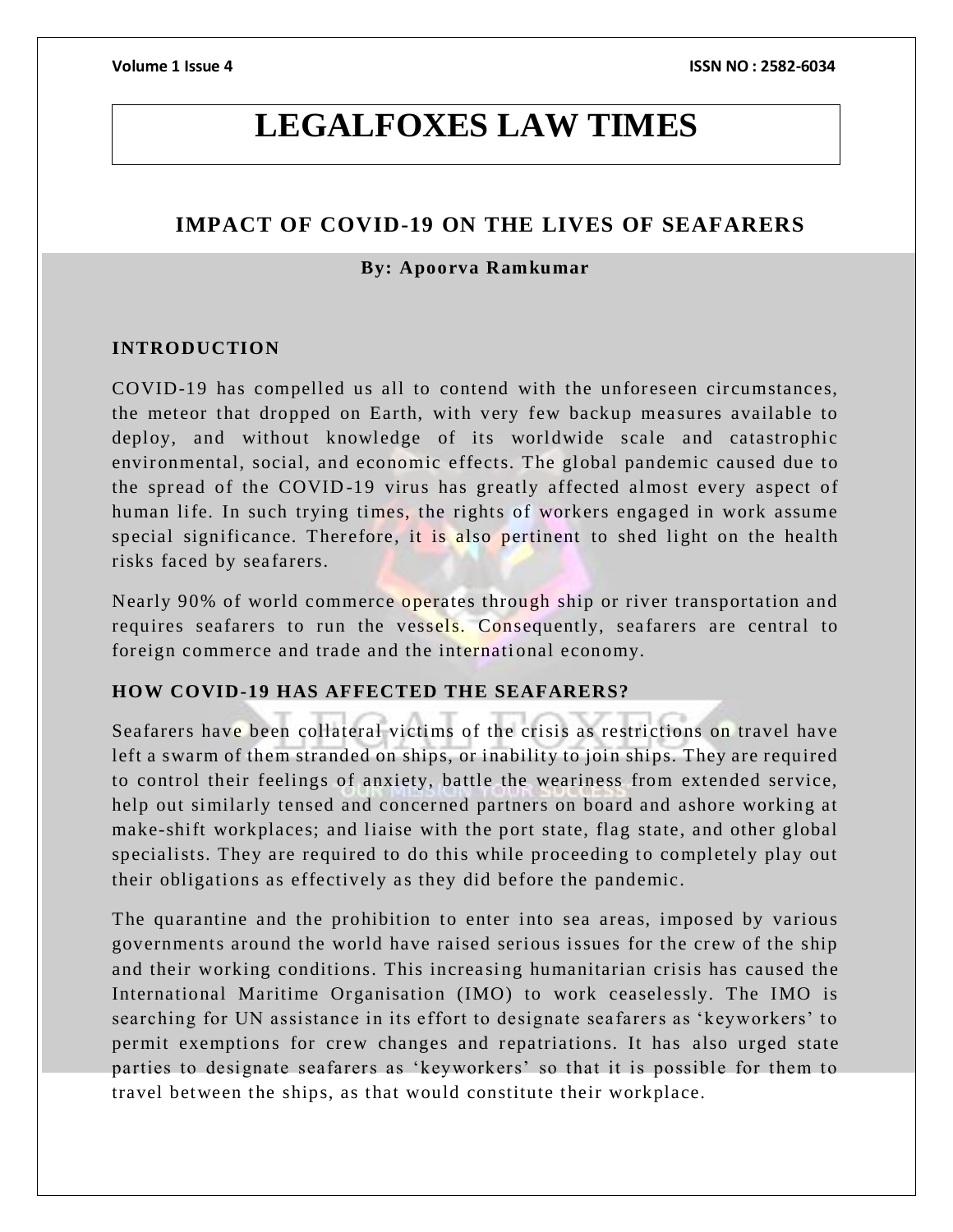# **LEGALFOXES LAW TIMES**

# **IMPACT OF COVID-19 ON THE LIVES OF SEAFARERS**

# **By: Apoorva Ramkumar**

# **INTRODUCTION**

COVID-19 has compelled us all to contend with the unforeseen circumstances, the meteor that dropped on Earth, with very few backup measures available to deploy, and without knowledge of its worldwide scale and catastrophic environmental, social, and economic effects. The global pandemic caused due to the spread of the COVID -19 virus has greatly affected almost every aspect of human life. In such trying times, the rights of workers engaged in work assume special significance. Therefore, it is also pertinent to shed light on the health risks faced by seafarers.

Nearly 90% of world commerce operates through ship or river transportation and requires seafarers to run the vessels. Consequently, seafarers are central to foreign commerce and trade and the international economy.

# **HOW COVID-19 HAS AFFECTED THE SEAFARERS?**

Seafarers have been collateral victims of the crisis as restrictions on travel have left a swarm of them stranded on ships, or inability to join ships. They are required to control their feelings of anxiety, battle the weariness from extended service, help out similarly tensed and concerned partners on board and ashore working at make-shift workplaces; and liaise with the port state, flag state, and other global specialists. They are required to do this while proceeding to completely play out their obligations as effectively as they did before the pandemic.

The quarantine and the prohibition to enter into sea areas, imposed by various governments around the world have raised serious issues for the crew of the ship and their working conditions. This increasing humanitarian crisis has caused the International Maritime Organisation (IMO) to work ceaselessly. The IMO is searching for UN assistance in its effort to designate sea farers as 'keyworkers' to permit exemptions for crew changes and repatriations. It has also urged state parties to designate seafarers as 'keyworkers' so that it is possible for them to travel between the ships, as that would constitute their workplace.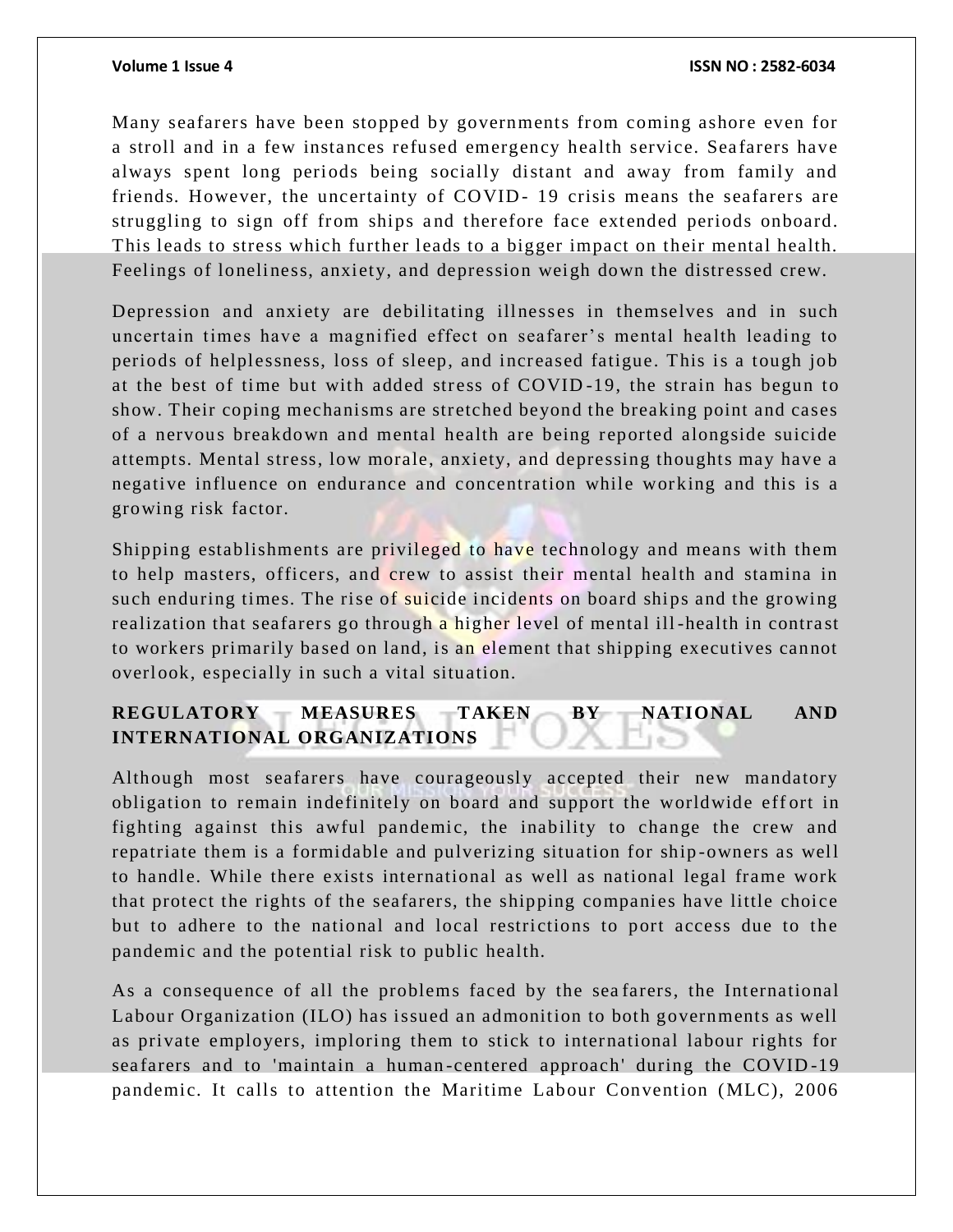Many seafarers have been stopped by governments from coming ashore even for a stroll and in a few instances refused emergency health service. Seafarers have always spent long periods being socially distant and away from family and friends. However, the uncertainty of COVID-19 crisis means the seafarers are struggling to sign off from ships and therefore face extended periods onboard. This leads to stress which further leads to a bigger impact on their mental health. Feelings of loneliness, anxiety, and depression weigh down the distressed crew.

Depression and anxiety are debilitating illnesses in themselves and in such uncertain times have a magnified effect on seafarer's mental health leading to periods of helplessness, loss of sleep, and increased fatigue. This is a tough job at the best of time but with added stress of COVID -19, the strain has begun to show. Their coping mechanisms are stretched beyond the breaking point and cases of a nervou s breakdown and mental health are being reported alongside suicide attempts. Mental stress, low morale, anxiety, and depressing thoughts may have a negative influence on endurance and concentration while working and this is a growing risk factor.

Shipping establishments are privileged to have technology and means with them to help masters, officers, and crew to assist their mental health and stamina in such enduring times. The rise of suicide incidents on board ships and the growing realization that seafarers go through a higher level of mental ill-health in contrast to workers primarily based on land, is an element that shipping executives cannot overlook, especially in such a vital situation.

# **REGULATORY MEASURES TAKEN BY NATIONAL AND INTERNATIONAL ORGANIZATIONS**

Although most seafarers have courageously accepted their new mandatory obligation to remain indefinitely on board and support the worldwide effort in fighting against this awful pandemic, the inability to change the crew and repatriate them is a formidable and pulverizing situation for ship -owners as well to handle. While there exists international as well as national legal frame work that protect the rights of the seafarers, the shipping companies have little choice but to adhere to the national and local restrictions to port access due to the pandemic and the potential risk to public health.

As a consequence of all the problems faced by the sea farers, the International Labour Organization (ILO) has issued an admonition to both governments as well as private employers, imploring them to stick to international labour rights for sea farers and to 'maintain a human-centered approach' during the COVID-19 pandemic. It calls to attention the Maritime Labour Convention (MLC), 2006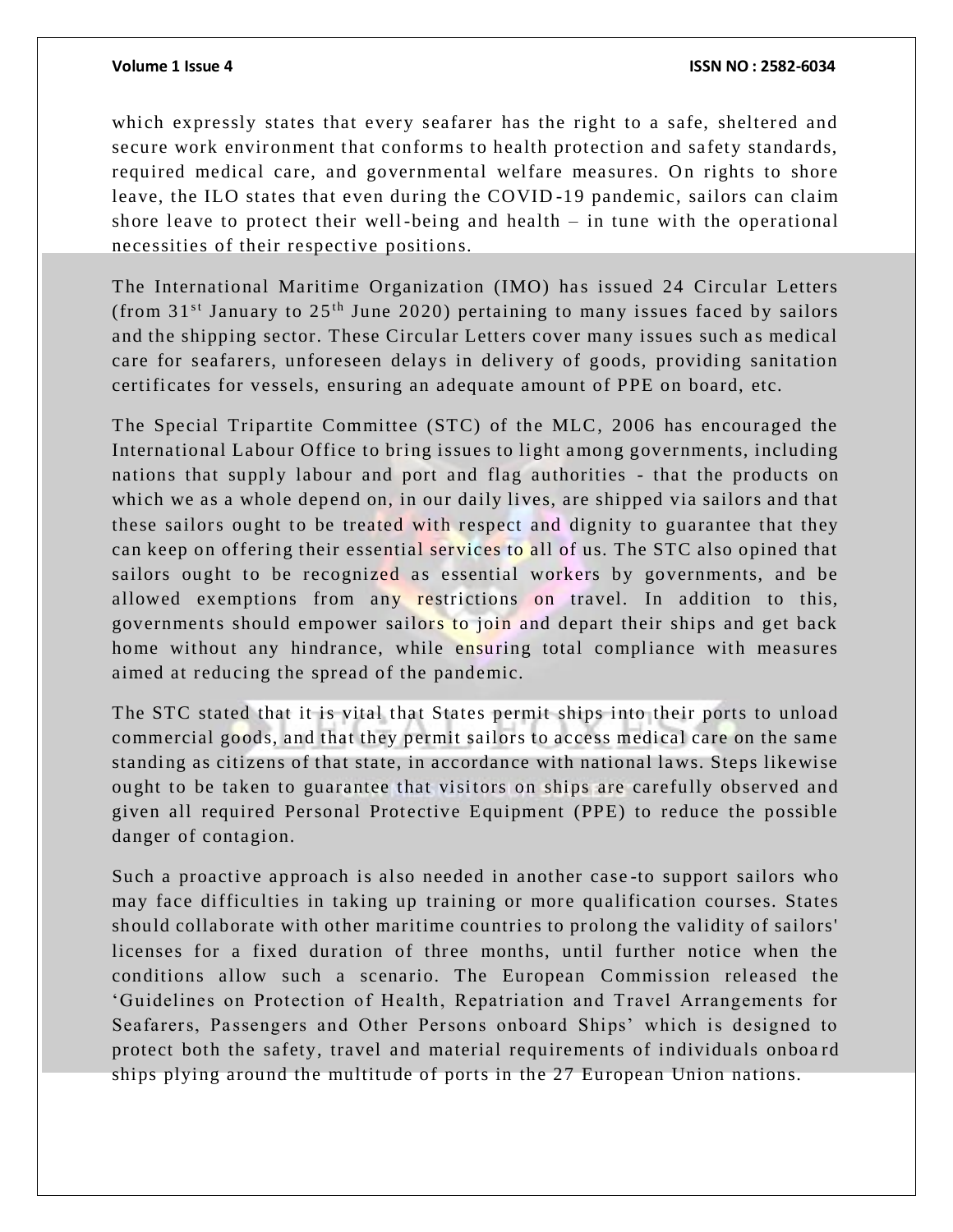### **Volume 1 Issue 4 ISSN NO : 2582-6034**

which expressly states that every seafarer has the right to a safe, sheltered and secure work environment that conforms to health protection and safety standards, required medical care, and governmental welfare measures. On rights to shore leave, the ILO states that even during the COVID -19 pandemic, sailors can claim shore leave to protect their well-being and health – in tune with the operational necessities of their respective positions.

The International Maritime Organization (IMO) has issued 24 Circular Letters (from  $31<sup>st</sup>$  January to  $25<sup>th</sup>$  June 2020) pertaining to many issues faced by sailors and the shipping sector. These Circular Letters cover many issues such as medical care for seafarers, unforeseen delays in delivery of goods, providing sanitation certificates for vessels, ensuring an adequate amount of PPE on board, etc.

The Special Tripartite Committee (STC) of the MLC, 2006 has encouraged the International Labour Office to bring issues to light a mong governments, including nations that supply labour and port and flag authorities - that the products on which we as a whole depend on, in our daily lives, are shipped via sailors and that these sailors ought to be treated with respect and dignity to guarantee that they can keep on offering their essential services to all of us. The STC also opined that sailors ought to be recognized as essential workers by governments, and be allowed exemptions from any restrictions on travel. In addition to this, governments should empower sailors to join and depart their ships and get back home without any hindrance, while ensuring total compliance with measures aimed at reducing the spread of the pandemic.

The STC stated that it is vital that States permit ships into their ports to unload commercial goods, and that they permit sailors to access medical care on the same standing as citizens of that state, in accordance with national la ws. Steps likewise ought to be taken to guarantee that visitors on ships are carefully observed and given all required Personal Protective Equipment (PPE) to reduce the possible danger of contagion.

Such a proactive approach is also needed in another case -to support sailors who may face difficulties in taking up training or more qualification courses. States should collaborate with other maritime countries to prolong the validity of sailors' licenses for a fixed duration of three months, until further notice when the conditions allow such a scenario. The European Commission released the 'Guidelines on Protection of Health, Repatriation and Travel Arrangements for Seafarers, Passengers and Other Persons onboard Ships' which is designed to protect both the safety, travel and material requirements of individuals onboa rd ships plying around the multitude of ports in the 27 European Union nations.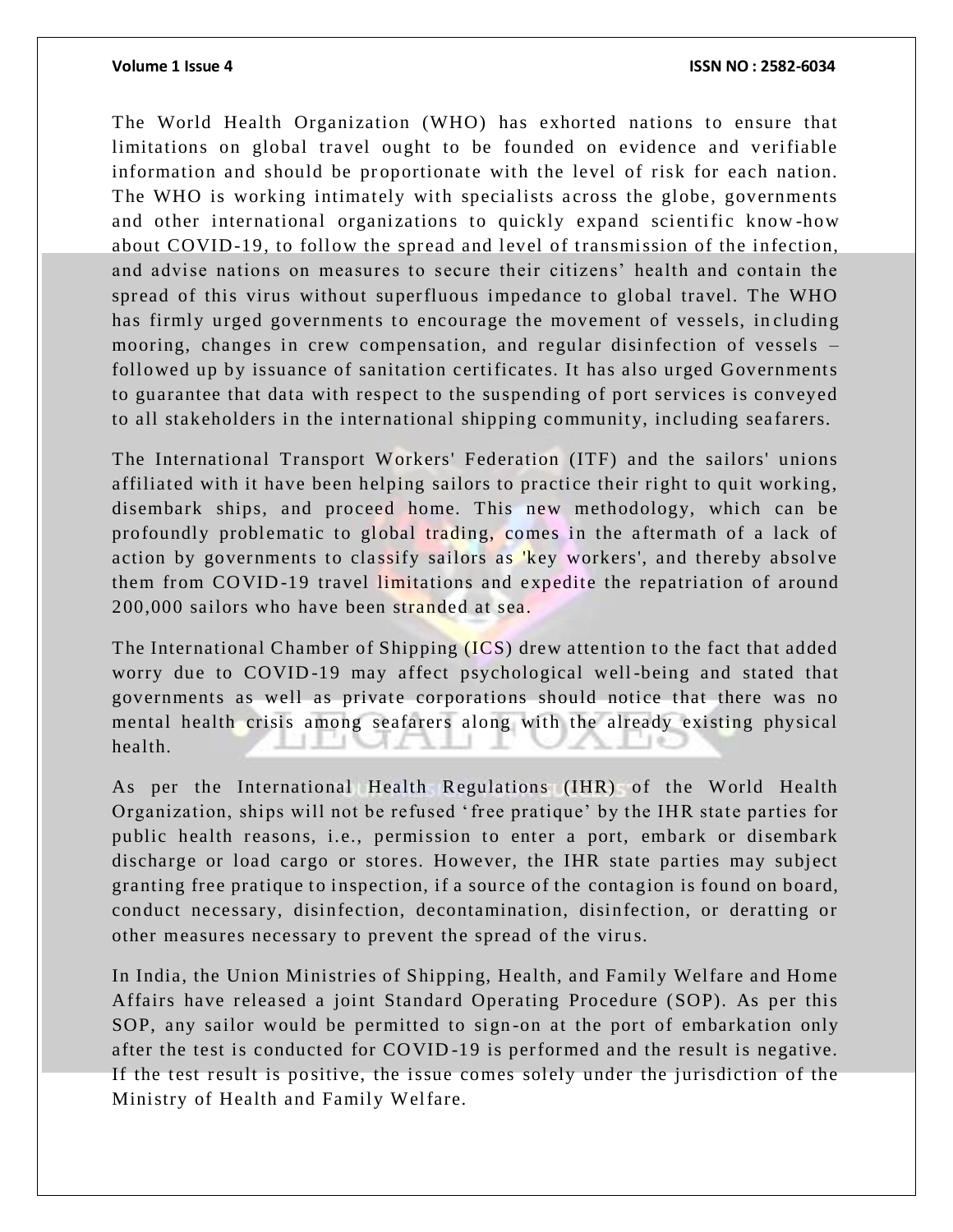The World Health Organization (WHO) has exhorted nations to ensure that limitations on global travel ought to be founded on evidence and verifiable information and should be proportionate with the level of risk for each nation. The WHO is working intimately with specialists across the globe, governments and other international organizations to quickly expand scientific know -how about COVID-19, to follow the spread and level of transmission of the infection, and advise nations on measures to secure their citizens' health and contain the spread of this virus without superfluous impedance to global travel. The WHO has firmly urged governments to encourage the movement of vessels, in cluding mooring, changes in crew compensation, and regular disinfection of vessels – followed up by issuance of sanitation certificates. It has also urged Governments to guarantee that data with respect to the suspending of port services is conveyed to all stakeholders in the international shipping community, including sea farers.

The International Transport Workers' Federation (ITF) and the sailors' unions affiliated with it have been helping sailors to practice their right to quit working, disembark ships, and proceed home. This new methodology, which can be profoundly problematic to global trading, comes in the aftermath of a lack of action by governments to classify sailors as 'key workers', and thereby absolve them from COVID-19 travel limitations and expedite the repatriation of around 200,000 sailors who have been stranded at sea.

The International Chamber of Shipping (ICS) drew attention to the fact that added worry due to COVID -19 may affect psychological well-being and stated that governments as well as private corporations should notice that there was no mental health crisis among seafarers along with the already existing physical health.

As per the International Health Regulations (IHR) of the World Health Organization, ships will not be refused 'free pratique' by the IHR state parties for public health reasons, i.e., permission to enter a port, embark or disembark discharge or load cargo or stores. However, the IHR state parties may subject granting free pratique to inspection, if a source of the contagion is found on board, conduct necessary, disinfection, decontamination, disinfection, or deratting or other measures necessary to prevent the spread of the virus.

In India, the Union Ministries of Shipping, Health, and Family Welfare and Home Affairs have released a joint Standard Operating Procedure (SOP). As per this SOP, any sailor would be permitted to sign -on at the port of embarkation only after the test is conducted for CO VID -19 is performed and the result is negative. If the test result is positive, the issue comes solely under the jurisdiction of the Ministry of Health and Family Welfare.